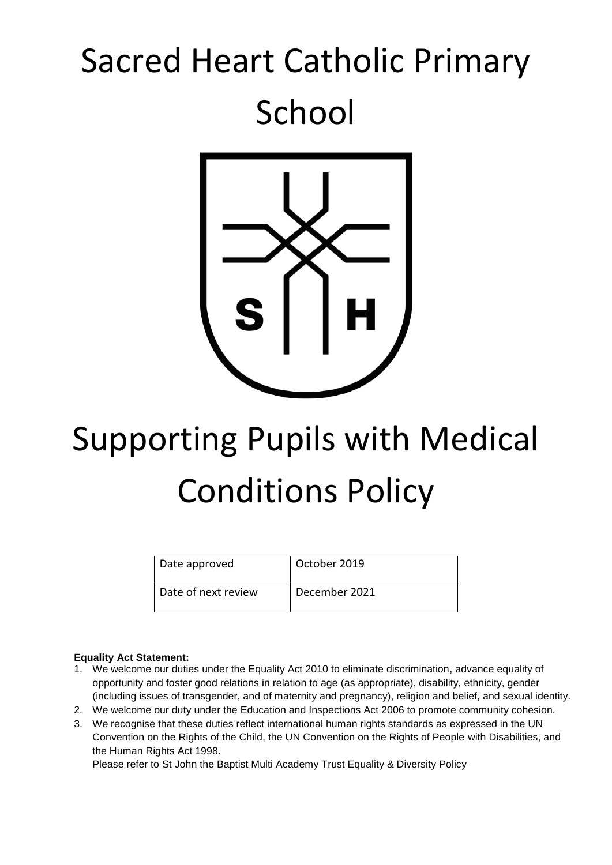## Sacred Heart Catholic Primary School



# Supporting Pupils with Medical Conditions Policy

| Date approved       | October 2019  |
|---------------------|---------------|
| Date of next review | December 2021 |

#### **Equality Act Statement:**

- 1. We welcome our duties under the Equality Act 2010 to eliminate discrimination, advance equality of opportunity and foster good relations in relation to age (as appropriate), disability, ethnicity, gender (including issues of transgender, and of maternity and pregnancy), religion and belief, and sexual identity.
- 2. We welcome our duty under the Education and Inspections Act 2006 to promote community cohesion.
- 3. We recognise that these duties reflect international human rights standards as expressed in the UN Convention on the Rights of the Child, the UN Convention on the Rights of People with Disabilities, and the Human Rights Act 1998.

Please refer to St John the Baptist Multi Academy Trust Equality & Diversity Policy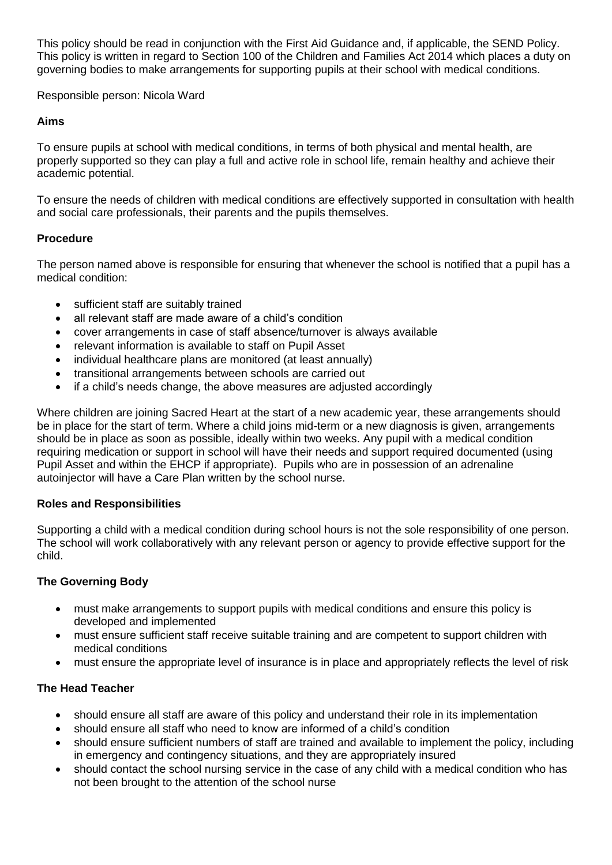This policy should be read in conjunction with the First Aid Guidance and, if applicable, the SEND Policy. This policy is written in regard to Section 100 of the Children and Families Act 2014 which places a duty on governing bodies to make arrangements for supporting pupils at their school with medical conditions.

Responsible person: Nicola Ward

### **Aims**

To ensure pupils at school with medical conditions, in terms of both physical and mental health, are properly supported so they can play a full and active role in school life, remain healthy and achieve their academic potential.

To ensure the needs of children with medical conditions are effectively supported in consultation with health and social care professionals, their parents and the pupils themselves.

### **Procedure**

The person named above is responsible for ensuring that whenever the school is notified that a pupil has a medical condition:

- sufficient staff are suitably trained
- all relevant staff are made aware of a child's condition
- cover arrangements in case of staff absence/turnover is always available
- relevant information is available to staff on Pupil Asset
- individual healthcare plans are monitored (at least annually)
- transitional arrangements between schools are carried out
- if a child's needs change, the above measures are adjusted accordingly

Where children are joining Sacred Heart at the start of a new academic year, these arrangements should be in place for the start of term. Where a child joins mid-term or a new diagnosis is given, arrangements should be in place as soon as possible, ideally within two weeks. Any pupil with a medical condition requiring medication or support in school will have their needs and support required documented (using Pupil Asset and within the EHCP if appropriate). Pupils who are in possession of an adrenaline autoinjector will have a Care Plan written by the school nurse.

## **Roles and Responsibilities**

Supporting a child with a medical condition during school hours is not the sole responsibility of one person. The school will work collaboratively with any relevant person or agency to provide effective support for the child.

## **The Governing Body**

- must make arrangements to support pupils with medical conditions and ensure this policy is developed and implemented
- must ensure sufficient staff receive suitable training and are competent to support children with medical conditions
- must ensure the appropriate level of insurance is in place and appropriately reflects the level of risk

## **The Head Teacher**

- should ensure all staff are aware of this policy and understand their role in its implementation
- should ensure all staff who need to know are informed of a child's condition
- should ensure sufficient numbers of staff are trained and available to implement the policy, including in emergency and contingency situations, and they are appropriately insured
- should contact the school nursing service in the case of any child with a medical condition who has not been brought to the attention of the school nurse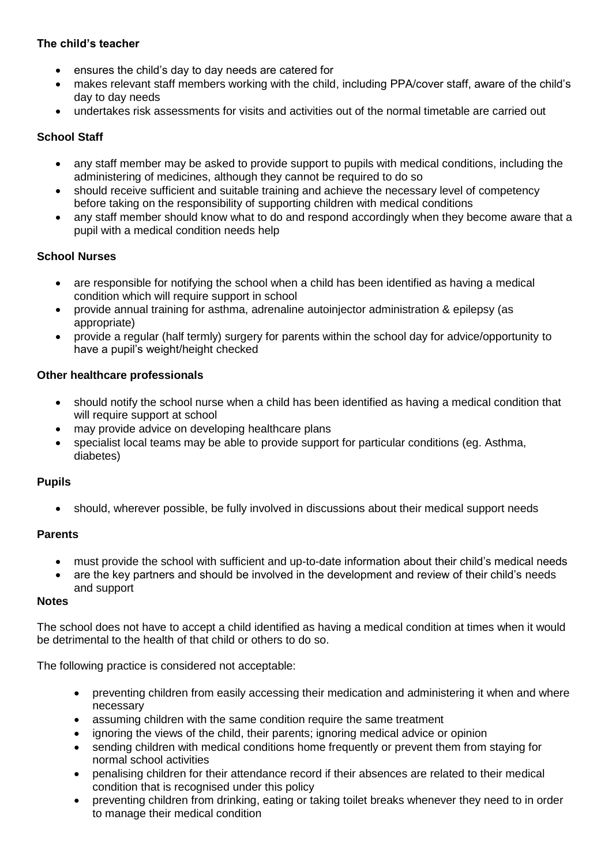## **The child's teacher**

- ensures the child's day to day needs are catered for
- makes relevant staff members working with the child, including PPA/cover staff, aware of the child's day to day needs
- undertakes risk assessments for visits and activities out of the normal timetable are carried out

## **School Staff**

- any staff member may be asked to provide support to pupils with medical conditions, including the administering of medicines, although they cannot be required to do so
- should receive sufficient and suitable training and achieve the necessary level of competency before taking on the responsibility of supporting children with medical conditions
- any staff member should know what to do and respond accordingly when they become aware that a pupil with a medical condition needs help

### **School Nurses**

- are responsible for notifying the school when a child has been identified as having a medical condition which will require support in school
- provide annual training for asthma, adrenaline autoinjector administration & epilepsy (as appropriate)
- provide a regular (half termly) surgery for parents within the school day for advice/opportunity to have a pupil's weight/height checked

### **Other healthcare professionals**

- should notify the school nurse when a child has been identified as having a medical condition that will require support at school
- may provide advice on developing healthcare plans
- specialist local teams may be able to provide support for particular conditions (eg. Asthma, diabetes)

#### **Pupils**

• should, wherever possible, be fully involved in discussions about their medical support needs

#### **Parents**

- must provide the school with sufficient and up-to-date information about their child's medical needs
- are the key partners and should be involved in the development and review of their child's needs and support

## **Notes**

The school does not have to accept a child identified as having a medical condition at times when it would be detrimental to the health of that child or others to do so.

The following practice is considered not acceptable:

- preventing children from easily accessing their medication and administering it when and where necessary
- assuming children with the same condition require the same treatment
- ignoring the views of the child, their parents; ignoring medical advice or opinion
- sending children with medical conditions home frequently or prevent them from staying for normal school activities
- penalising children for their attendance record if their absences are related to their medical condition that is recognised under this policy
- preventing children from drinking, eating or taking toilet breaks whenever they need to in order to manage their medical condition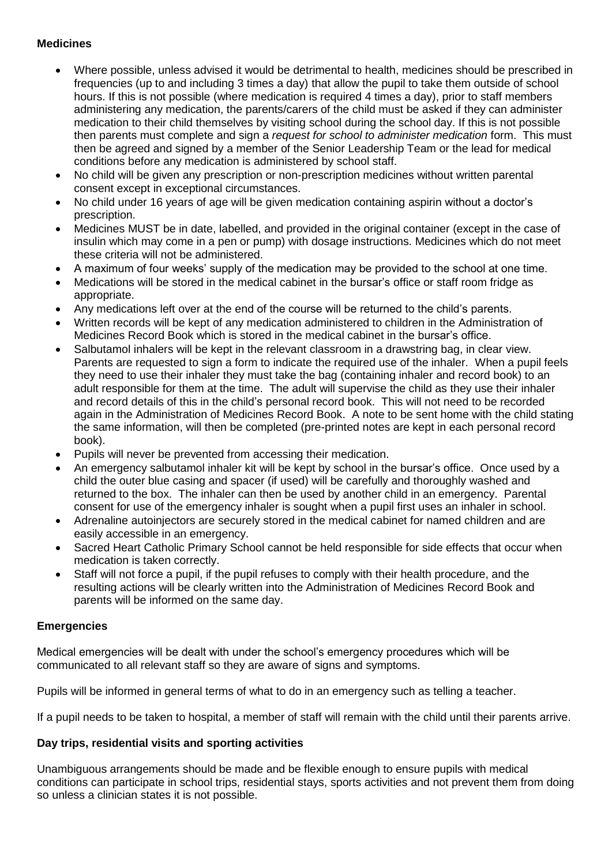### **Medicines**

- Where possible, unless advised it would be detrimental to health, medicines should be prescribed in frequencies (up to and including 3 times a day) that allow the pupil to take them outside of school hours. If this is not possible (where medication is required 4 times a day), prior to staff members administering any medication, the parents/carers of the child must be asked if they can administer medication to their child themselves by visiting school during the school day. If this is not possible then parents must complete and sign a *request for school to administer medication* form. This must then be agreed and signed by a member of the Senior Leadership Team or the lead for medical conditions before any medication is administered by school staff.
- No child will be given any prescription or non-prescription medicines without written parental consent except in exceptional circumstances.
- No child under 16 years of age will be given medication containing aspirin without a doctor's prescription.
- Medicines MUST be in date, labelled, and provided in the original container (except in the case of insulin which may come in a pen or pump) with dosage instructions. Medicines which do not meet these criteria will not be administered.
- A maximum of four weeks' supply of the medication may be provided to the school at one time.
- Medications will be stored in the medical cabinet in the bursar's office or staff room fridge as appropriate.
- Any medications left over at the end of the course will be returned to the child's parents.
- Written records will be kept of any medication administered to children in the Administration of Medicines Record Book which is stored in the medical cabinet in the bursar's office.
- Salbutamol inhalers will be kept in the relevant classroom in a drawstring bag, in clear view. Parents are requested to sign a form to indicate the required use of the inhaler. When a pupil feels they need to use their inhaler they must take the bag (containing inhaler and record book) to an adult responsible for them at the time. The adult will supervise the child as they use their inhaler and record details of this in the child's personal record book. This will not need to be recorded again in the Administration of Medicines Record Book. A note to be sent home with the child stating the same information, will then be completed (pre-printed notes are kept in each personal record book).
- Pupils will never be prevented from accessing their medication.
- An emergency salbutamol inhaler kit will be kept by school in the bursar's office. Once used by a child the outer blue casing and spacer (if used) will be carefully and thoroughly washed and returned to the box. The inhaler can then be used by another child in an emergency. Parental consent for use of the emergency inhaler is sought when a pupil first uses an inhaler in school.
- Adrenaline autoinjectors are securely stored in the medical cabinet for named children and are easily accessible in an emergency.
- Sacred Heart Catholic Primary School cannot be held responsible for side effects that occur when medication is taken correctly.
- Staff will not force a pupil, if the pupil refuses to comply with their health procedure, and the resulting actions will be clearly written into the Administration of Medicines Record Book and parents will be informed on the same day.

#### **Emergencies**

Medical emergencies will be dealt with under the school's emergency procedures which will be communicated to all relevant staff so they are aware of signs and symptoms.

Pupils will be informed in general terms of what to do in an emergency such as telling a teacher.

If a pupil needs to be taken to hospital, a member of staff will remain with the child until their parents arrive.

#### **Day trips, residential visits and sporting activities**

Unambiguous arrangements should be made and be flexible enough to ensure pupils with medical conditions can participate in school trips, residential stays, sports activities and not prevent them from doing so unless a clinician states it is not possible.